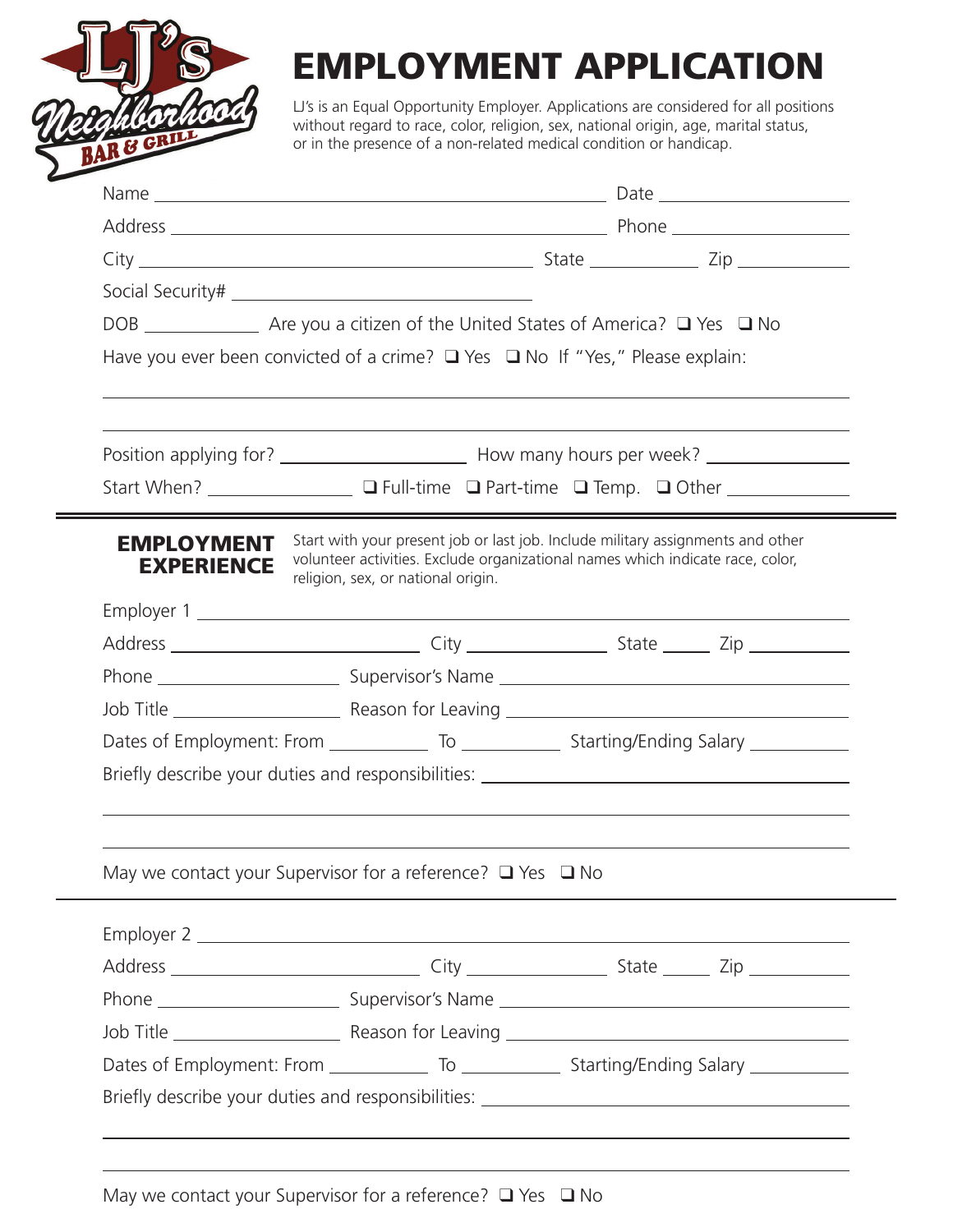

## **EMPLOYMENT APPLICATION**

LJ's is an Equal Opportunity Employer. Applications are considered for all positions without regard to race, color, religion, sex, national origin, age, marital status, or in the presence of a non-related medical condition or handicap.

| Have you ever been convicted of a crime? $\Box$ Yes $\Box$ No If "Yes," Please explain:                    |                                                                                                                                                                                                         |                                                                                                     |  |  |  |
|------------------------------------------------------------------------------------------------------------|---------------------------------------------------------------------------------------------------------------------------------------------------------------------------------------------------------|-----------------------------------------------------------------------------------------------------|--|--|--|
|                                                                                                            |                                                                                                                                                                                                         |                                                                                                     |  |  |  |
|                                                                                                            |                                                                                                                                                                                                         |                                                                                                     |  |  |  |
| Start When? $\qquad \qquad \Box$ Full-time $\Box$ Part-time $\Box$ Temp. $\Box$ Other $\qquad \qquad \Box$ |                                                                                                                                                                                                         |                                                                                                     |  |  |  |
| <b>EMPLOYMENT</b><br><b>EXPERIENCE</b>                                                                     | Start with your present job or last job. Include military assignments and other<br>volunteer activities. Exclude organizational names which indicate race, color,<br>religion, sex, or national origin. |                                                                                                     |  |  |  |
|                                                                                                            |                                                                                                                                                                                                         |                                                                                                     |  |  |  |
|                                                                                                            |                                                                                                                                                                                                         |                                                                                                     |  |  |  |
|                                                                                                            |                                                                                                                                                                                                         |                                                                                                     |  |  |  |
|                                                                                                            |                                                                                                                                                                                                         |                                                                                                     |  |  |  |
|                                                                                                            |                                                                                                                                                                                                         | Dates of Employment: From ________________ To ________________ Starting/Ending Salary _____________ |  |  |  |
| Briefly describe your duties and responsibilities: _____________________________                           |                                                                                                                                                                                                         |                                                                                                     |  |  |  |
|                                                                                                            |                                                                                                                                                                                                         |                                                                                                     |  |  |  |
|                                                                                                            |                                                                                                                                                                                                         |                                                                                                     |  |  |  |
| May we contact your Supervisor for a reference? $\Box$ Yes $\Box$ No                                       |                                                                                                                                                                                                         |                                                                                                     |  |  |  |
|                                                                                                            |                                                                                                                                                                                                         |                                                                                                     |  |  |  |
|                                                                                                            |                                                                                                                                                                                                         |                                                                                                     |  |  |  |
|                                                                                                            |                                                                                                                                                                                                         |                                                                                                     |  |  |  |
|                                                                                                            |                                                                                                                                                                                                         |                                                                                                     |  |  |  |
|                                                                                                            |                                                                                                                                                                                                         |                                                                                                     |  |  |  |
|                                                                                                            |                                                                                                                                                                                                         |                                                                                                     |  |  |  |